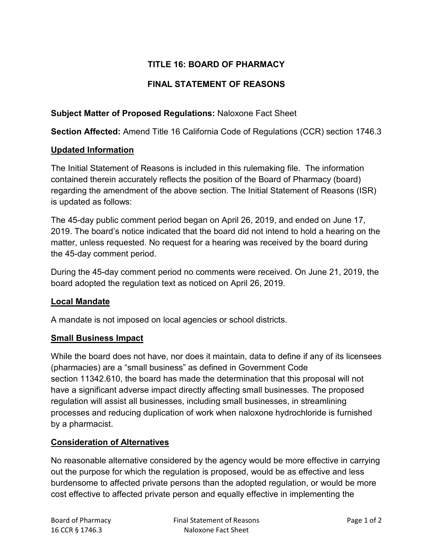# **TITLE 16: BOARD OF PHARMACY**

## **FINAL STATEMENT OF REASONS**

### **Subject Matter of Proposed Regulations:** Naloxone Fact Sheet

**Section Affected:** Amend Title 16 California Code of Regulations (CCR) section 1746.3

#### **Updated Information**

The Initial Statement of Reasons is included in this rulemaking file. The information contained therein accurately reflects the position of the Board of Pharmacy (board) regarding the amendment of the above section. The Initial Statement of Reasons (ISR) is updated as follows:

The 45-day public comment period began on April 26, 2019, and ended on June 17, 2019. The board's notice indicated that the board did not intend to hold a hearing on the matter, unless requested. No request for a hearing was received by the board during the 45-day comment period.

During the 45-day comment period no comments were received. On June 21, 2019, the board adopted the regulation text as noticed on April 26, 2019.

#### **Local Mandate**

A mandate is not imposed on local agencies or school districts.

#### **Small Business Impact**

While the board does not have, nor does it maintain, data to define if any of its licensees (pharmacies) are a "small business" as defined in Government Code section 11342.610, the board has made the determination that this proposal will not have a significant adverse impact directly affecting small businesses. The proposed regulation will assist all businesses, including small businesses, in streamlining processes and reducing duplication of work when naloxone hydrochloride is furnished by a pharmacist.

### **Consideration of Alternatives**

No reasonable alternative considered by the agency would be more effective in carrying out the purpose for which the regulation is proposed, would be as effective and less burdensome to affected private persons than the adopted regulation, or would be more cost effective to affected private person and equally effective in implementing the